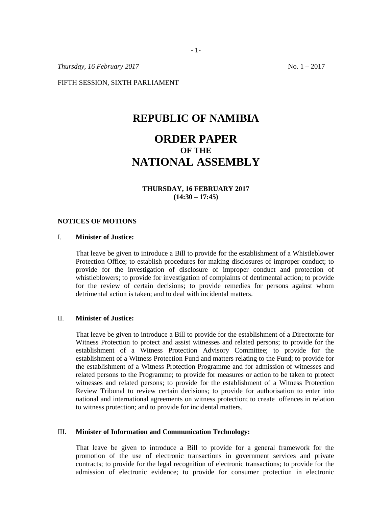*Thursday, 16 February 2017* No. 1 – 2017

FIFTH SESSION, SIXTH PARLIAMENT

## **REPUBLIC OF NAMIBIA**

# **ORDER PAPER OF THE NATIONAL ASSEMBLY**

## **THURSDAY, 16 FEBRUARY 2017 (14:30 – 17:45)**

#### **NOTICES OF MOTIONS**

### I. **Minister of Justice:**

That leave be given to introduce a Bill to provide for the establishment of a Whistleblower Protection Office; to establish procedures for making disclosures of improper conduct; to provide for the investigation of disclosure of improper conduct and protection of whistleblowers; to provide for investigation of complaints of detrimental action; to provide for the review of certain decisions; to provide remedies for persons against whom detrimental action is taken; and to deal with incidental matters.

#### II. **Minister of Justice:**

That leave be given to introduce a Bill to provide for the establishment of a Directorate for Witness Protection to protect and assist witnesses and related persons; to provide for the establishment of a Witness Protection Advisory Committee; to provide for the establishment of a Witness Protection Fund and matters relating to the Fund; to provide for the establishment of a Witness Protection Programme and for admission of witnesses and related persons to the Programme; to provide for measures or action to be taken to protect witnesses and related persons; to provide for the establishment of a Witness Protection Review Tribunal to review certain decisions; to provide for authorisation to enter into national and international agreements on witness protection; to create offences in relation to witness protection; and to provide for incidental matters.

#### III. **Minister of Information and Communication Technology:**

That leave be given to introduce a Bill to provide for a general framework for the promotion of the use of electronic transactions in government services and private contracts; to provide for the legal recognition of electronic transactions; to provide for the admission of electronic evidence; to provide for consumer protection in electronic